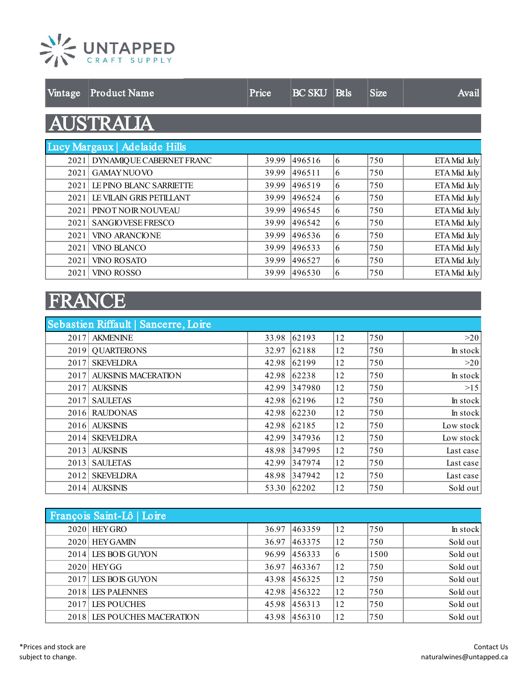

| $\sqrt{\text{intage}}$ | <b>Product Name</b>           | Price | <b>BC SKU Btls</b> |   | <b>Size</b> | Avail        |
|------------------------|-------------------------------|-------|--------------------|---|-------------|--------------|
|                        | <b>AUSTRALIA</b>              |       |                    |   |             |              |
|                        | Lucy Margaux   Adelaide Hills |       |                    |   |             |              |
|                        | 2021 DYNAMIQUE CABERNET FRANC | 39.99 | 496516             | 6 | 750         | ETA Mid July |
| 2021                   | <b>GAMAYNUOVO</b>             | 39.99 | 496511             | 6 | 750         | ETA Mid July |
|                        | 2021 LE PINO BLANC SARRIETTE  | 39.99 | 496519             | 6 | 750         | ETA Mid July |
| 20211                  | LE VILAIN GRIS PETILLANT      | 39.99 | 496524             | 6 | 750         | ETA Mid July |
| 2021                   | PINOT NOIR NOUVEAU            | 39.99 | 496545             | 6 | 750         | ETA Mid July |
| 2021                   | <b>SANGIO VESE FRESCO</b>     | 39.99 | 496542             | 6 | 750         | ETA Mid July |
| 2021                   | <b>VINO ARANCIONE</b>         | 39.99 | 496536             | 6 | 750         | ETA Mid July |
| 2021                   | <b>VINO BLANCO</b>            | 39.99 | 496533             | 6 | 750         | ETA Mid July |
| 2021                   | VINO ROSATO                   | 39.99 | 496527             | 6 | 750         | ETA Mid July |
| 2021                   | VINO ROSSO                    | 39.99 | 496530             | 6 | 750         | ETA Mid July |

## FRANCE

|      | Sebastien Riffault   Sancerre, Loire |       |             |    |     |           |
|------|--------------------------------------|-------|-------------|----|-----|-----------|
|      | 2017 AKMENINE                        | 33.98 | 62193       | 12 | 750 | >20       |
|      | 2019 QUARTERONS                      | 32.97 | 62188       | 12 | 750 | In stock  |
| 2017 | <b>SKEVELDRA</b>                     | 42.98 | 62199       | 12 | 750 | >20       |
| 2017 | <b>AUKSINIS MACERATION</b>           | 42.98 | 62238       | 12 | 750 | In stock  |
|      | 2017 AUKSINIS                        | 42.99 | 347980      | 12 | 750 | >15       |
|      | 2017 SAULETAS                        | 42.98 | 62196       | 12 | 750 | In stock  |
|      | 2016 RAUDONAS                        | 42.98 | 62230       | 12 | 750 | In stock  |
|      | 2016 AUKSINIS                        | 42.98 | 62185       | 12 | 750 | Low stock |
|      | 2014 SKEVELDRA                       | 42.99 | 347936      | 12 | 750 | Low stock |
|      | 2013 AUKSINIS                        | 48.98 | 347995      | 12 | 750 | Last case |
|      | 2013 SAULETAS                        | 42.99 | 347974      | 12 | 750 | Last case |
| 2012 | <b>SKEVELDRA</b>                     | 48.98 | 347942      | 12 | 750 | Last case |
|      | 2014 AUKSINIS                        |       | 53.30 62202 | 12 | 750 | Sold out  |

| François Saint-Lô   Loire   |       |              |    |      |          |
|-----------------------------|-------|--------------|----|------|----------|
| $2020$ HEY GRO              | 36.97 | 463359       | 12 | 750  | In stock |
| 2020 HEY GAMIN              | 36.97 | 463375       | 12 | 750  | Sold out |
| 2014 LES BOIS GUYON         | 96.99 | 456333       | 16 | 1500 | Sold out |
| $2020$ HEYGG                | 36.97 | 463367       | 12 | 750  | Sold out |
| 2017 LES BOIS GUYON         | 43.98 | 456325       | 12 | 750  | Sold out |
| 2018 LES PALENNES           |       | 42.98 456322 | 12 | 750  | Sold out |
| 2017 LES POUCHES            | 45.98 | 456313       | 12 | 750  | Sold out |
| 2018 LES POUCHES MACERATION | 43.98 | 456310       | 12 | 750  | Sold out |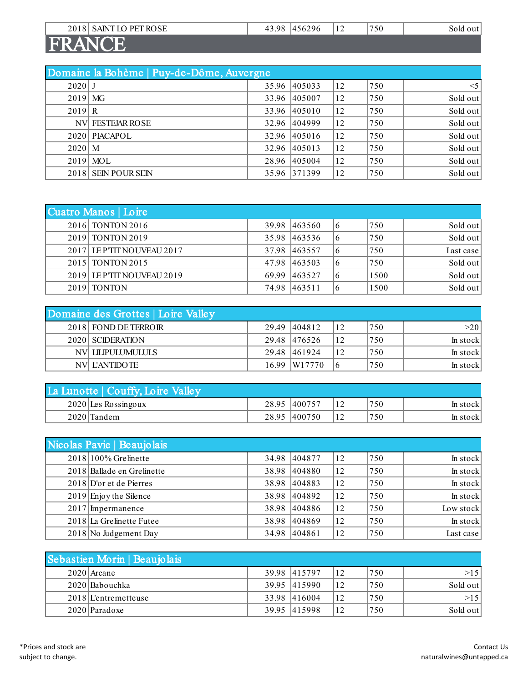| 2018 SAINT LO PET ROSE | 43.98 456296 | 12 | 750 | Sold out |
|------------------------|--------------|----|-----|----------|
| <b>FRANCE</b>          |              |    |     |          |

|           | Domaine la Bohème   Puy-de-Dôme, Auvergne |       |              |    |     |          |  |  |
|-----------|-------------------------------------------|-------|--------------|----|-----|----------|--|--|
| $2020$ J  |                                           |       | 35.96 405033 | 12 | 750 | $<$ 5    |  |  |
| $2019$ MG |                                           |       | 33.96 405007 | 12 | 750 | Sold out |  |  |
| 2019 R    |                                           | 33.96 | 405010       | 12 | 750 | Sold out |  |  |
|           | <b>NV FESTEIAR ROSE</b>                   |       | 32.96 404999 | 12 | 750 | Sold out |  |  |
|           | 2020 PIACAPOL                             |       | 32.96 405016 | 12 | 750 | Sold out |  |  |
| $2020$ M  |                                           | 32.96 | 405013       | 12 | 750 | Sold out |  |  |
|           | $2019$ MOL                                | 28.96 | 405004       | 12 | 750 | Sold out |  |  |
|           | 2018 SEIN POUR SEIN                       |       | 35.96 371399 | 12 | 750 | Sold out |  |  |

| Cuatro Manos   Loire       |       |              |    |      |           |
|----------------------------|-------|--------------|----|------|-----------|
| 2016 TONTON 2016           |       | 39.98 463560 | 16 | 1750 | Sold out  |
| 2019 TONTON 2019           |       | 35.98 463536 | 16 | 750  | Sold out  |
| 2017 LEPTIT NOUVEAU 2017   |       | 37.98 463557 | 16 | 750  | Last case |
| 2015 TONTON 2015           |       | 47.98 463503 | 16 | 1750 | Sold out  |
| 2019 LE P'TIT NOUVEAU 2019 | 69.99 | 463527       | 16 | 1500 | Sold out  |
| 2019 TONTON                | 74.98 | 463511       | 16 | 1500 | Sold out  |

| Domaine des Grottes   Loire Valley |              |    |      |          |
|------------------------------------|--------------|----|------|----------|
| 2018 FOND DE TERROIR               | 29.49 404812 | 12 | 1750 | >20      |
| 2020 SCIDERATION                   | 29.48 476526 | 12 | 1750 | In stock |
| NV LILIPULUMULULS                  | 29.48 461924 | 12 | 1750 | In stock |
| NVL L'ANTIDOTE                     | 16.99 W17770 | 16 | 1750 | In stock |

| La Lunotte   Couffy, Loire Valley |              |      |          |
|-----------------------------------|--------------|------|----------|
| $2020$ Les Rossingoux             | 28.95 400757 | 1750 | ln stock |
| 2020 Tandem                       | 28.95 400750 | 1750 | In stock |

| Nicolas Pavie   Beaujolais |              |    |      |           |
|----------------------------|--------------|----|------|-----------|
| $2018 100\%$ Grelinette    | 34.98 404877 | 12 | 750  | In stock  |
| 2018 Ballade en Grelinette | 38.98 404880 | 12 | 750  | In stock  |
| 2018 D'or et de Pierres    | 38.98 404883 | 12 | 750  | In stock  |
| $2019$ Enjoy the Silence   | 38.98 404892 | 12 | 750  | In stock  |
| $2017$ Impermanence        | 38.98 404886 | 12 | 750  | Low stock |
| 2018 La Grelinette Futee   | 38.98 404869 | 12 | 750  | In stock  |
| 2018 No Judgement Day      | 34.98 404861 | 12 | 1750 | Last case |

| Sebastien Morin   Beaujolais |              |              |      |          |
|------------------------------|--------------|--------------|------|----------|
| $2020$ Arcane                | 39.98 415797 |              | 1750 | >15      |
| 2020 Babouchka               | 39.95 415990 | $ 12\rangle$ | 1750 | Sold out |
| $2018$ L'entremetteuse       | 33.98 416004 |              | 750  | >15      |
| 2020 Paradoxe                | 39.95 415998 | 12           | 750  | Sold out |